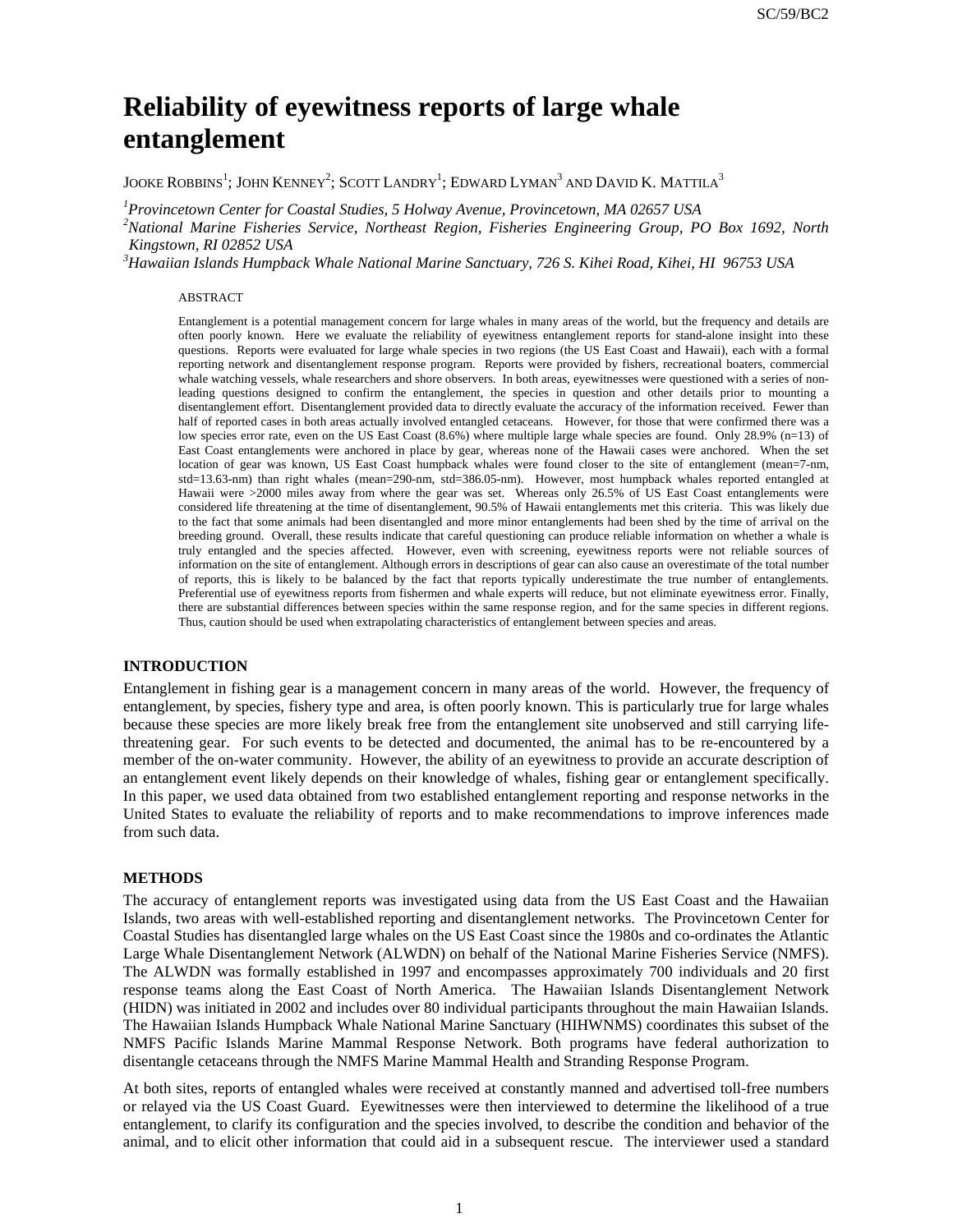# **Reliability of eyewitness reports of large whale entanglement**

JOOKE ROBBINS<sup>1</sup>; JOHN KENNEY<sup>2</sup>; SCOTT LANDRY<sup>1</sup>; EDWARD LYMAN<sup>3</sup> AND DAVID K. MATTILA<sup>3</sup>

*1 Provincetown Center for Coastal Studies, 5 Holway Avenue, Provincetown, MA 02657 USA*

*2 National Marine Fisheries Service, Northeast Region, Fisheries Engineering Group, PO Box 1692, North Kingstown, RI 02852 USA*

*3 Hawaiian Islands Humpback Whale National Marine Sanctuary, 726 S. Kihei Road, Kihei, HI 96753 USA*

#### ABSTRACT

Entanglement is a potential management concern for large whales in many areas of the world, but the frequency and details are often poorly known. Here we evaluate the reliability of eyewitness entanglement reports for stand-alone insight into these questions. Reports were evaluated for large whale species in two regions (the US East Coast and Hawaii), each with a formal reporting network and disentanglement response program. Reports were provided by fishers, recreational boaters, commercial whale watching vessels, whale researchers and shore observers. In both areas, eyewitnesses were questioned with a series of nonleading questions designed to confirm the entanglement, the species in question and other details prior to mounting a disentanglement effort. Disentanglement provided data to directly evaluate the accuracy of the information received. Fewer than half of reported cases in both areas actually involved entangled cetaceans. However, for those that were confirmed there was a low species error rate, even on the US East Coast (8.6%) where multiple large whale species are found. Only 28.9% (n=13) of East Coast entanglements were anchored in place by gear, whereas none of the Hawaii cases were anchored. When the set location of gear was known, US East Coast humpback whales were found closer to the site of entanglement (mean=7-nm, std=13.63-nm) than right whales (mean=290-nm, std=386.05-nm). However, most humpback whales reported entangled at Hawaii were >2000 miles away from where the gear was set. Whereas only 26.5% of US East Coast entanglements were considered life threatening at the time of disentanglement, 90.5% of Hawaii entanglements met this criteria. This was likely due to the fact that some animals had been disentangled and more minor entanglements had been shed by the time of arrival on the breeding ground. Overall, these results indicate that careful questioning can produce reliable information on whether a whale is truly entangled and the species affected. However, even with screening, eyewitness reports were not reliable sources of information on the site of entanglement. Although errors in descriptions of gear can also cause an overestimate of the total number of reports, this is likely to be balanced by the fact that reports typically underestimate the true number of entanglements. Preferential use of eyewitness reports from fishermen and whale experts will reduce, but not eliminate eyewitness error. Finally, there are substantial differences between species within the same response region, and for the same species in different regions. Thus, caution should be used when extrapolating characteristics of entanglement between species and areas.

### **INTRODUCTION**

Entanglement in fishing gear is a management concern in many areas of the world. However, the frequency of entanglement, by species, fishery type and area, is often poorly known. This is particularly true for large whales because these species are more likely break free from the entanglement site unobserved and still carrying lifethreatening gear. For such events to be detected and documented, the animal has to be re-encountered by a member of the on-water community. However, the ability of an eyewitness to provide an accurate description of an entanglement event likely depends on their knowledge of whales, fishing gear or entanglement specifically. In this paper, we used data obtained from two established entanglement reporting and response networks in the United States to evaluate the reliability of reports and to make recommendations to improve inferences made from such data.

#### **METHODS**

The accuracy of entanglement reports was investigated using data from the US East Coast and the Hawaiian Islands, two areas with well-established reporting and disentanglement networks. The Provincetown Center for Coastal Studies has disentangled large whales on the US East Coast since the 1980s and co-ordinates the Atlantic Large Whale Disentanglement Network (ALWDN) on behalf of the National Marine Fisheries Service (NMFS). The ALWDN was formally established in 1997 and encompasses approximately 700 individuals and 20 first response teams along the East Coast of North America. The Hawaiian Islands Disentanglement Network (HIDN) was initiated in 2002 and includes over 80 individual participants throughout the main Hawaiian Islands. The Hawaiian Islands Humpback Whale National Marine Sanctuary (HIHWNMS) coordinates this subset of the NMFS Pacific Islands Marine Mammal Response Network. Both programs have federal authorization to disentangle cetaceans through the NMFS Marine Mammal Health and Stranding Response Program.

At both sites, reports of entangled whales were received at constantly manned and advertised toll-free numbers or relayed via the US Coast Guard. Eyewitnesses were then interviewed to determine the likelihood of a true entanglement, to clarify its configuration and the species involved, to describe the condition and behavior of the animal, and to elicit other information that could aid in a subsequent rescue. The interviewer used a standard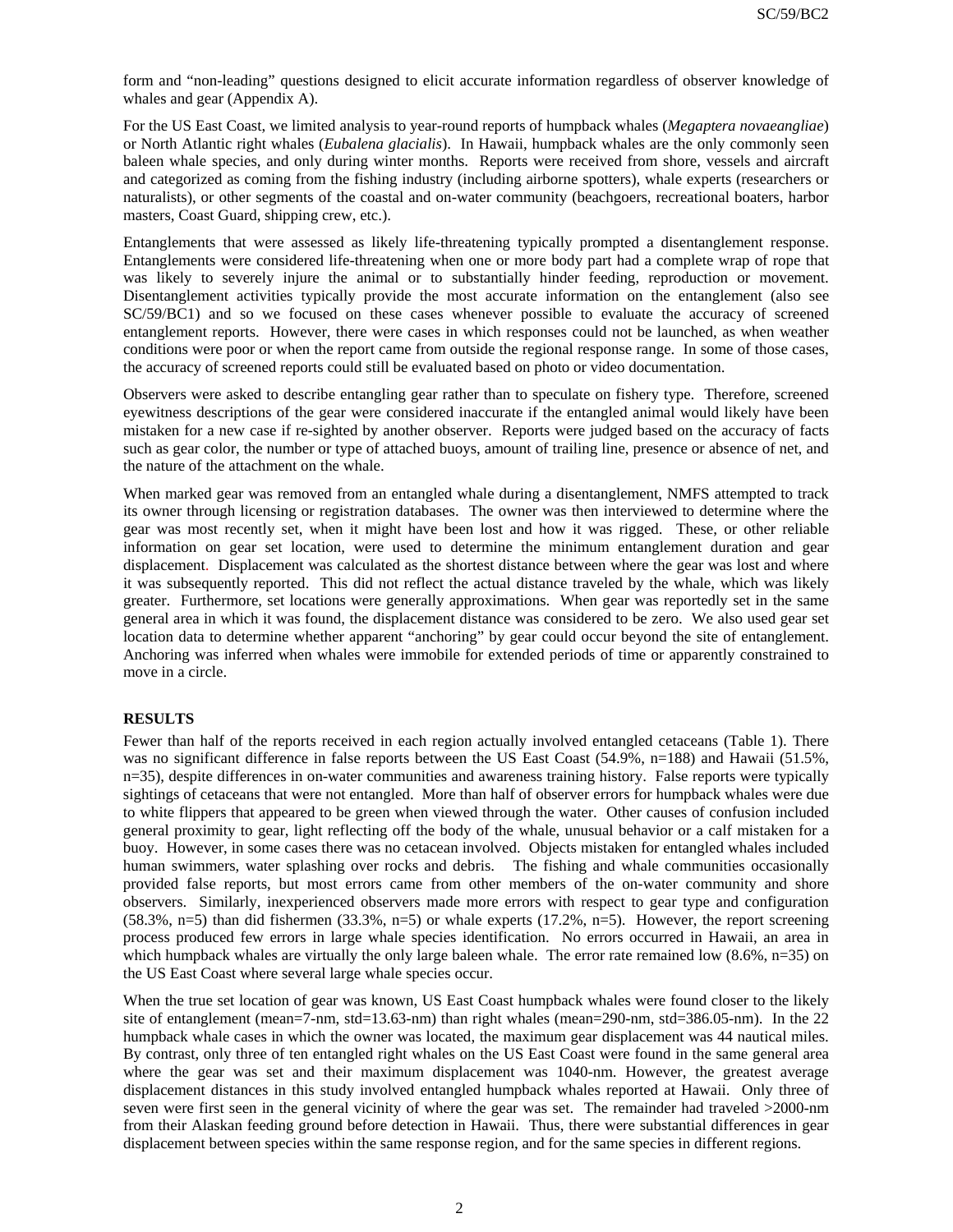form and "non-leading" questions designed to elicit accurate information regardless of observer knowledge of whales and gear (Appendix A).

For the US East Coast, we limited analysis to year-round reports of humpback whales (*Megaptera novaeangliae*) or North Atlantic right whales (*Eubalena glacialis*). In Hawaii, humpback whales are the only commonly seen baleen whale species, and only during winter months. Reports were received from shore, vessels and aircraft and categorized as coming from the fishing industry (including airborne spotters), whale experts (researchers or naturalists), or other segments of the coastal and on-water community (beachgoers, recreational boaters, harbor masters, Coast Guard, shipping crew, etc.).

Entanglements that were assessed as likely life-threatening typically prompted a disentanglement response. Entanglements were considered life-threatening when one or more body part had a complete wrap of rope that was likely to severely injure the animal or to substantially hinder feeding, reproduction or movement. Disentanglement activities typically provide the most accurate information on the entanglement (also see SC/59/BC1) and so we focused on these cases whenever possible to evaluate the accuracy of screened entanglement reports. However, there were cases in which responses could not be launched, as when weather conditions were poor or when the report came from outside the regional response range. In some of those cases, the accuracy of screened reports could still be evaluated based on photo or video documentation.

Observers were asked to describe entangling gear rather than to speculate on fishery type. Therefore, screened eyewitness descriptions of the gear were considered inaccurate if the entangled animal would likely have been mistaken for a new case if re-sighted by another observer. Reports were judged based on the accuracy of facts such as gear color, the number or type of attached buoys, amount of trailing line, presence or absence of net, and the nature of the attachment on the whale.

When marked gear was removed from an entangled whale during a disentanglement, NMFS attempted to track its owner through licensing or registration databases. The owner was then interviewed to determine where the gear was most recently set, when it might have been lost and how it was rigged. These, or other reliable information on gear set location, were used to determine the minimum entanglement duration and gear displacement. Displacement was calculated as the shortest distance between where the gear was lost and where it was subsequently reported. This did not reflect the actual distance traveled by the whale, which was likely greater. Furthermore, set locations were generally approximations. When gear was reportedly set in the same general area in which it was found, the displacement distance was considered to be zero. We also used gear set location data to determine whether apparent "anchoring" by gear could occur beyond the site of entanglement. Anchoring was inferred when whales were immobile for extended periods of time or apparently constrained to move in a circle.

# **RESULTS**

Fewer than half of the reports received in each region actually involved entangled cetaceans (Table 1). There was no significant difference in false reports between the US East Coast (54.9%, n=188) and Hawaii (51.5%, n=35), despite differences in on-water communities and awareness training history. False reports were typically sightings of cetaceans that were not entangled. More than half of observer errors for humpback whales were due to white flippers that appeared to be green when viewed through the water. Other causes of confusion included general proximity to gear, light reflecting off the body of the whale, unusual behavior or a calf mistaken for a buoy. However, in some cases there was no cetacean involved. Objects mistaken for entangled whales included human swimmers, water splashing over rocks and debris. The fishing and whale communities occasionally provided false reports, but most errors came from other members of the on-water community and shore observers. Similarly, inexperienced observers made more errors with respect to gear type and configuration  $(58.3\%, n=5)$  than did fishermen  $(33.3\%, n=5)$  or whale experts  $(17.2\%, n=5)$ . However, the report screening process produced few errors in large whale species identification. No errors occurred in Hawaii, an area in which humpback whales are virtually the only large baleen whale. The error rate remained low  $(8.6\%, n=35)$  on the US East Coast where several large whale species occur.

When the true set location of gear was known, US East Coast humpback whales were found closer to the likely site of entanglement (mean=7-nm, std=13.63-nm) than right whales (mean=290-nm, std=386.05-nm). In the 22 humpback whale cases in which the owner was located, the maximum gear displacement was 44 nautical miles. By contrast, only three of ten entangled right whales on the US East Coast were found in the same general area where the gear was set and their maximum displacement was 1040-nm. However, the greatest average displacement distances in this study involved entangled humpback whales reported at Hawaii. Only three of seven were first seen in the general vicinity of where the gear was set. The remainder had traveled >2000-nm from their Alaskan feeding ground before detection in Hawaii. Thus, there were substantial differences in gear displacement between species within the same response region, and for the same species in different regions.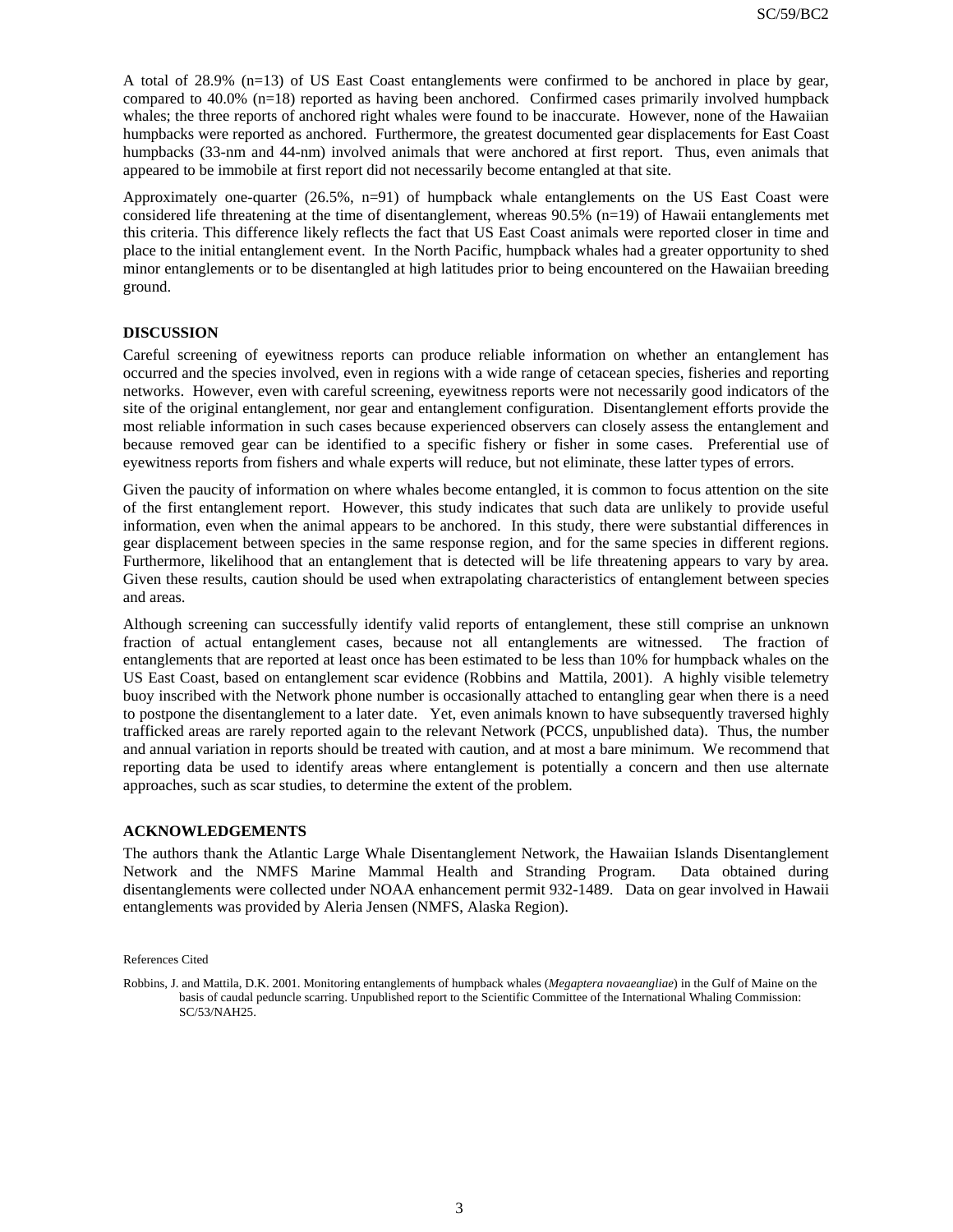A total of 28.9% (n=13) of US East Coast entanglements were confirmed to be anchored in place by gear, compared to 40.0% (n=18) reported as having been anchored. Confirmed cases primarily involved humpback whales; the three reports of anchored right whales were found to be inaccurate. However, none of the Hawaiian humpbacks were reported as anchored. Furthermore, the greatest documented gear displacements for East Coast humpbacks (33-nm and 44-nm) involved animals that were anchored at first report. Thus, even animals that appeared to be immobile at first report did not necessarily become entangled at that site.

Approximately one-quarter (26.5%, n=91) of humpback whale entanglements on the US East Coast were considered life threatening at the time of disentanglement, whereas 90.5% (n=19) of Hawaii entanglements met this criteria. This difference likely reflects the fact that US East Coast animals were reported closer in time and place to the initial entanglement event. In the North Pacific, humpback whales had a greater opportunity to shed minor entanglements or to be disentangled at high latitudes prior to being encountered on the Hawaiian breeding ground.

# **DISCUSSION**

Careful screening of eyewitness reports can produce reliable information on whether an entanglement has occurred and the species involved, even in regions with a wide range of cetacean species, fisheries and reporting networks. However, even with careful screening, eyewitness reports were not necessarily good indicators of the site of the original entanglement, nor gear and entanglement configuration. Disentanglement efforts provide the most reliable information in such cases because experienced observers can closely assess the entanglement and because removed gear can be identified to a specific fishery or fisher in some cases. Preferential use of eyewitness reports from fishers and whale experts will reduce, but not eliminate, these latter types of errors.

Given the paucity of information on where whales become entangled, it is common to focus attention on the site of the first entanglement report. However, this study indicates that such data are unlikely to provide useful information, even when the animal appears to be anchored. In this study, there were substantial differences in gear displacement between species in the same response region, and for the same species in different regions. Furthermore, likelihood that an entanglement that is detected will be life threatening appears to vary by area. Given these results, caution should be used when extrapolating characteristics of entanglement between species and areas.

Although screening can successfully identify valid reports of entanglement, these still comprise an unknown fraction of actual entanglement cases, because not all entanglements are witnessed. The fraction of entanglements that are reported at least once has been estimated to be less than 10% for humpback whales on the US East Coast, based on entanglement scar evidence (Robbins and Mattila, 2001). A highly visible telemetry buoy inscribed with the Network phone number is occasionally attached to entangling gear when there is a need to postpone the disentanglement to a later date. Yet, even animals known to have subsequently traversed highly trafficked areas are rarely reported again to the relevant Network (PCCS, unpublished data). Thus, the number and annual variation in reports should be treated with caution, and at most a bare minimum. We recommend that reporting data be used to identify areas where entanglement is potentially a concern and then use alternate approaches, such as scar studies, to determine the extent of the problem.

# **ACKNOWLEDGEMENTS**

The authors thank the Atlantic Large Whale Disentanglement Network, the Hawaiian Islands Disentanglement Network and the NMFS Marine Mammal Health and Stranding Program. Data obtained during disentanglements were collected under NOAA enhancement permit 932-1489. Data on gear involved in Hawaii entanglements was provided by Aleria Jensen (NMFS, Alaska Region).

References Cited

Robbins, J. and Mattila, D.K. 2001. Monitoring entanglements of humpback whales (*Megaptera novaeangliae*) in the Gulf of Maine on the basis of caudal peduncle scarring. Unpublished report to the Scientific Committee of the International Whaling Commission: SC/53/NAH25.